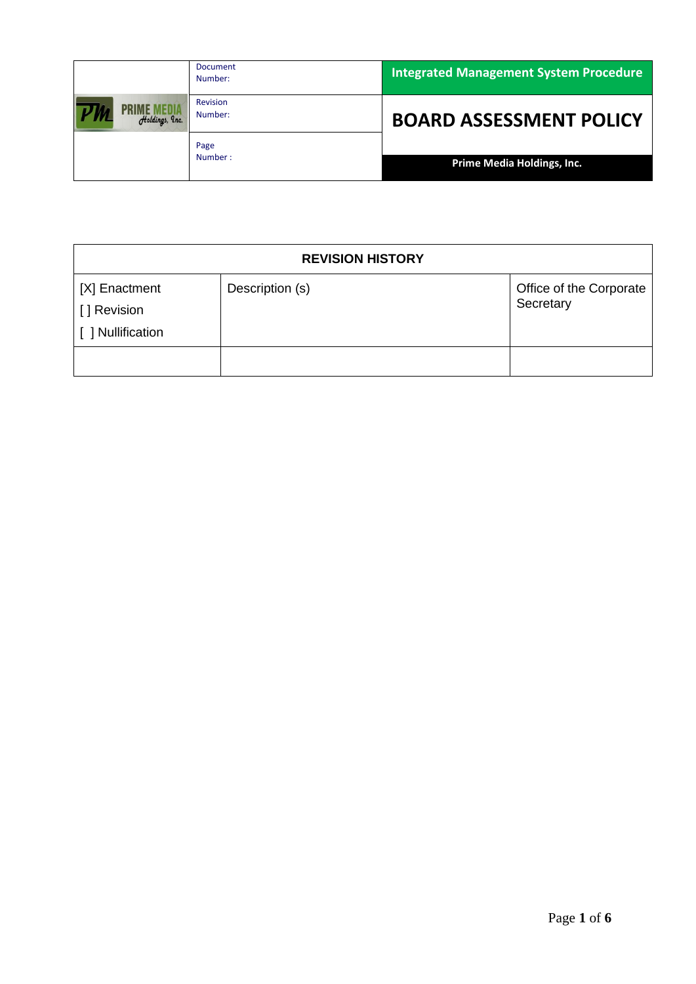|                | <b>Document</b><br>Number: | <b>Integrated Management System Procedure</b> |
|----------------|----------------------------|-----------------------------------------------|
| Holdings, Inc. | <b>Revision</b><br>Number: | <b>BOARD ASSESSMENT POLICY</b>                |
|                | Page<br>Number:            | Prime Media Holdings, Inc.                    |

| <b>REVISION HISTORY</b>                           |                 |                                      |
|---------------------------------------------------|-----------------|--------------------------------------|
| [X] Enactment<br>[] Revision<br>[ ] Nullification | Description (s) | Office of the Corporate<br>Secretary |
|                                                   |                 |                                      |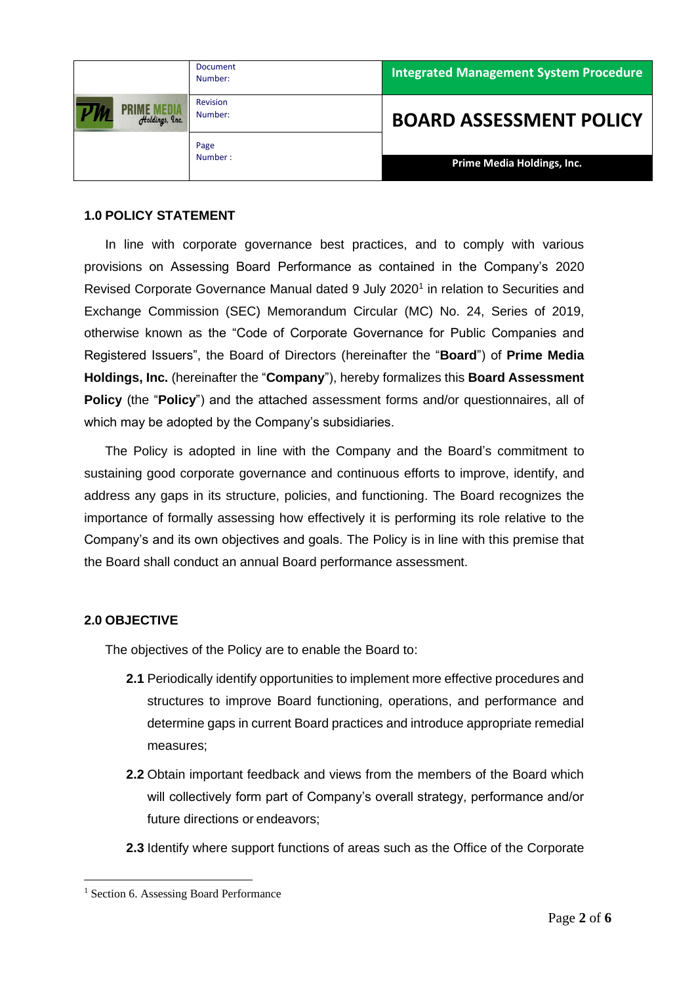|                | <b>Document</b><br>Number: | <b>Integrated Management System Procedure</b> |
|----------------|----------------------------|-----------------------------------------------|
| Holdings, Inc. | <b>Revision</b><br>Number: | <b>BOARD ASSESSMENT POLICY</b>                |
|                | Page<br>Number:            | Prime Media Holdings, Inc.                    |

### **1.0 POLICY STATEMENT**

In line with corporate governance best practices, and to comply with various provisions on Assessing Board Performance as contained in the Company's 2020 Revised Corporate Governance Manual dated 9 July 2020<sup>1</sup> in relation to Securities and Exchange Commission (SEC) Memorandum Circular (MC) No. 24, Series of 2019, otherwise known as the "Code of Corporate Governance for Public Companies and Registered Issuers", the Board of Directors (hereinafter the "**Board**") of **Prime Media Holdings, Inc.** (hereinafter the "**Company**"), hereby formalizes this **Board Assessment Policy** (the "**Policy**") and the attached assessment forms and/or questionnaires, all of which may be adopted by the Company's subsidiaries.

The Policy is adopted in line with the Company and the Board's commitment to sustaining good corporate governance and continuous efforts to improve, identify, and address any gaps in its structure, policies, and functioning. The Board recognizes the importance of formally assessing how effectively it is performing its role relative to the Company's and its own objectives and goals. The Policy is in line with this premise that the Board shall conduct an annual Board performance assessment.

### **2.0 OBJECTIVE**

The objectives of the Policy are to enable the Board to:

- **2.1** Periodically identify opportunities to implement more effective procedures and structures to improve Board functioning, operations, and performance and determine gaps in current Board practices and introduce appropriate remedial measures;
- **2.2** Obtain important feedback and views from the members of the Board which will collectively form part of Company's overall strategy, performance and/or future directions or endeavors;
- **2.3** Identify where support functions of areas such as the Office of the Corporate

<sup>&</sup>lt;sup>1</sup> Section 6. Assessing Board Performance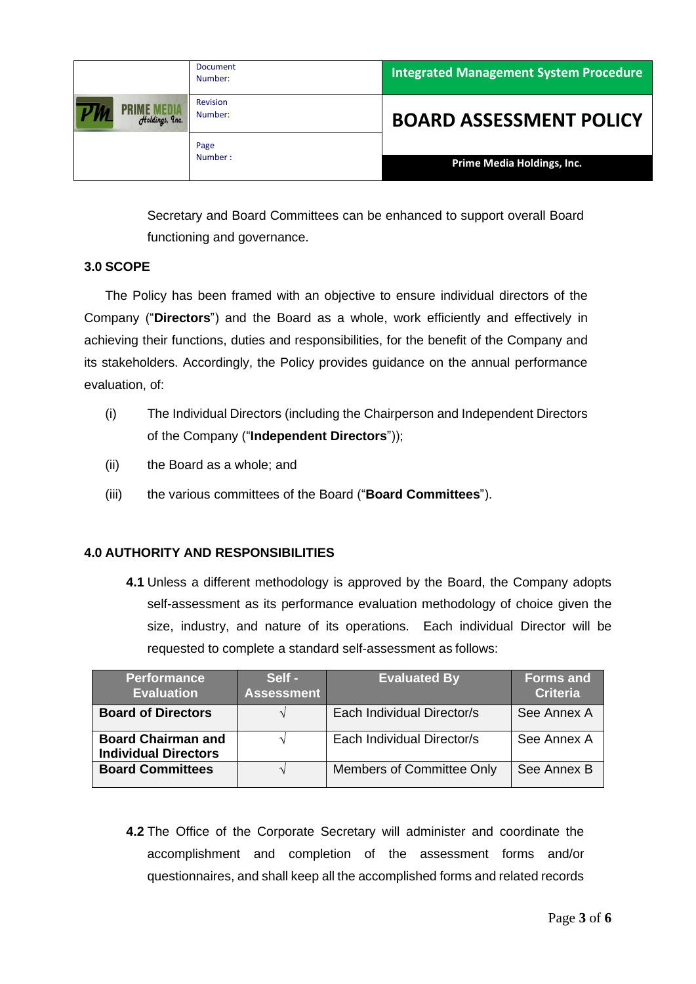|                                      | <b>Document</b><br>Number: | <b>Integrated Management System Procedure</b> |
|--------------------------------------|----------------------------|-----------------------------------------------|
| <b>PRIME MEDIA</b><br>Holdings, Inc. | <b>Revision</b><br>Number: | <b>BOARD ASSESSMENT POLICY</b>                |
|                                      | Page<br>Number:            | Prime Media Holdings, Inc.                    |

Secretary and Board Committees can be enhanced to support overall Board functioning and governance.

### **3.0 SCOPE**

The Policy has been framed with an objective to ensure individual directors of the Company ("**Directors**") and the Board as a whole, work efficiently and effectively in achieving their functions, duties and responsibilities, for the benefit of the Company and its stakeholders. Accordingly, the Policy provides guidance on the annual performance evaluation, of:

- (i) The Individual Directors (including the Chairperson and Independent Directors of the Company ("**Independent Directors**"));
- (ii) the Board as a whole; and
- (iii) the various committees of the Board ("**Board Committees**").

## **4.0 AUTHORITY AND RESPONSIBILITIES**

**4.1** Unless a different methodology is approved by the Board, the Company adopts self-assessment as its performance evaluation methodology of choice given the size, industry, and nature of its operations. Each individual Director will be requested to complete a standard self-assessment as follows:

| <b>Performance</b><br><b>Evaluation</b>                  | Self -<br><b>Assessment</b> | <b>Evaluated By</b>        | <b>Forms and</b><br><b>Criteria</b> |
|----------------------------------------------------------|-----------------------------|----------------------------|-------------------------------------|
| <b>Board of Directors</b>                                |                             | Each Individual Director/s | See Annex A                         |
| <b>Board Chairman and</b><br><b>Individual Directors</b> |                             | Each Individual Director/s | See Annex A                         |
| <b>Board Committees</b>                                  |                             | Members of Committee Only  | See Annex B                         |

**4.2** The Office of the Corporate Secretary will administer and coordinate the accomplishment and completion of the assessment forms and/or questionnaires, and shall keep all the accomplished forms and related records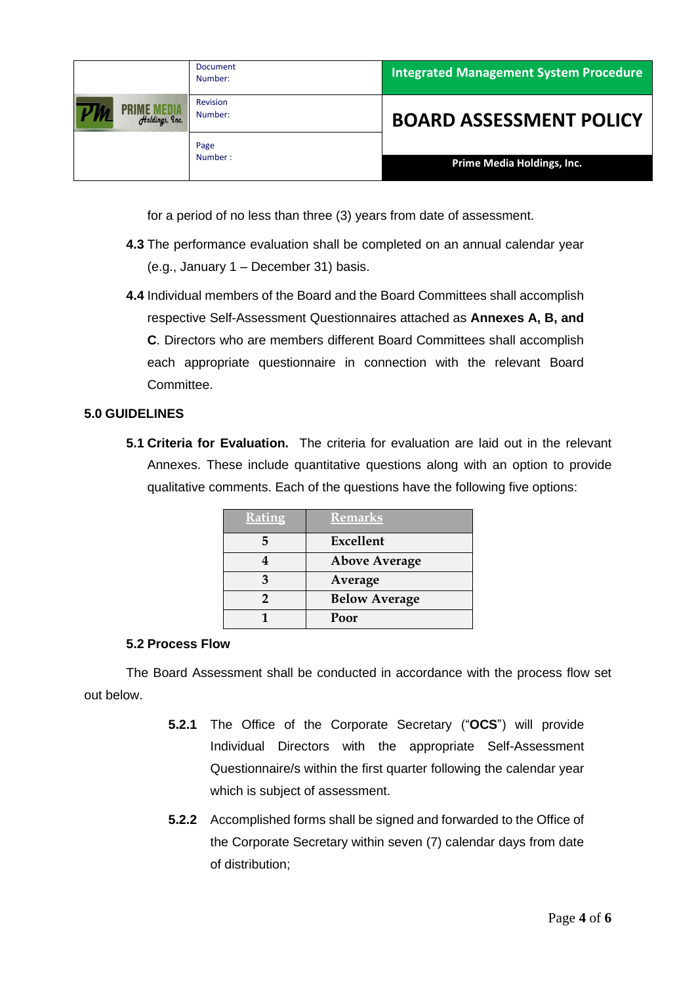|                | <b>Document</b><br>Number: | <b>Integrated Management System Procedure</b> |
|----------------|----------------------------|-----------------------------------------------|
| Holdings, Inc. | Revision<br>Number:        | <b>BOARD ASSESSMENT POLICY</b>                |
|                | Page<br>Number:            | Prime Media Holdings, Inc.                    |

for a period of no less than three (3) years from date of assessment.

- **4.3** The performance evaluation shall be completed on an annual calendar year (e.g., January 1 – December 31) basis.
- **4.4** Individual members of the Board and the Board Committees shall accomplish respective Self-Assessment Questionnaires attached as **Annexes A, B, and C**. Directors who are members different Board Committees shall accomplish each appropriate questionnaire in connection with the relevant Board Committee.

### **5.0 GUIDELINES**

**5.1 Criteria for Evaluation.** The criteria for evaluation are laid out in the relevant Annexes. These include quantitative questions along with an option to provide qualitative comments. Each of the questions have the following five options:

| <b>Rating</b> | <b>Remarks</b>       |
|---------------|----------------------|
|               | Excellent            |
|               | <b>Above Average</b> |
|               | Average              |
|               | <b>Below Average</b> |
|               | Poor                 |

### **5.2 Process Flow**

The Board Assessment shall be conducted in accordance with the process flow set out below.

- **5.2.1** The Office of the Corporate Secretary ("**OCS**") will provide Individual Directors with the appropriate Self-Assessment Questionnaire/s within the first quarter following the calendar year which is subject of assessment.
- **5.2.2** Accomplished forms shall be signed and forwarded to the Office of the Corporate Secretary within seven (7) calendar days from date of distribution;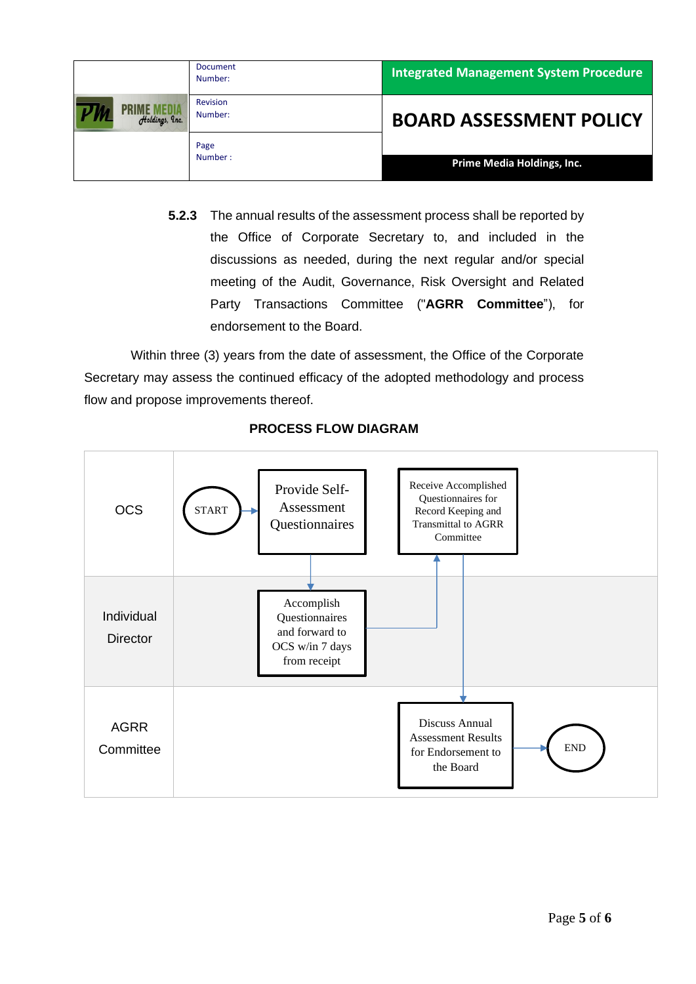|                | Document<br>Number: | <b>Integrated Management System Procedure</b> |
|----------------|---------------------|-----------------------------------------------|
| Holdings, Inc. | Revision<br>Number: | <b>BOARD ASSESSMENT POLICY</b>                |
|                | Page<br>Number:     | Prime Media Holdings, Inc.                    |

**5.2.3** The annual results of the assessment process shall be reported by the Office of Corporate Secretary to, and included in the discussions as needed, during the next regular and/or special meeting of the Audit, Governance, Risk Oversight and Related Party Transactions Committee ("**AGRR Committee**"), for endorsement to the Board.

Within three (3) years from the date of assessment, the Office of the Corporate Secretary may assess the continued efficacy of the adopted methodology and process flow and propose improvements thereof.



# **PROCESS FLOW DIAGRAM**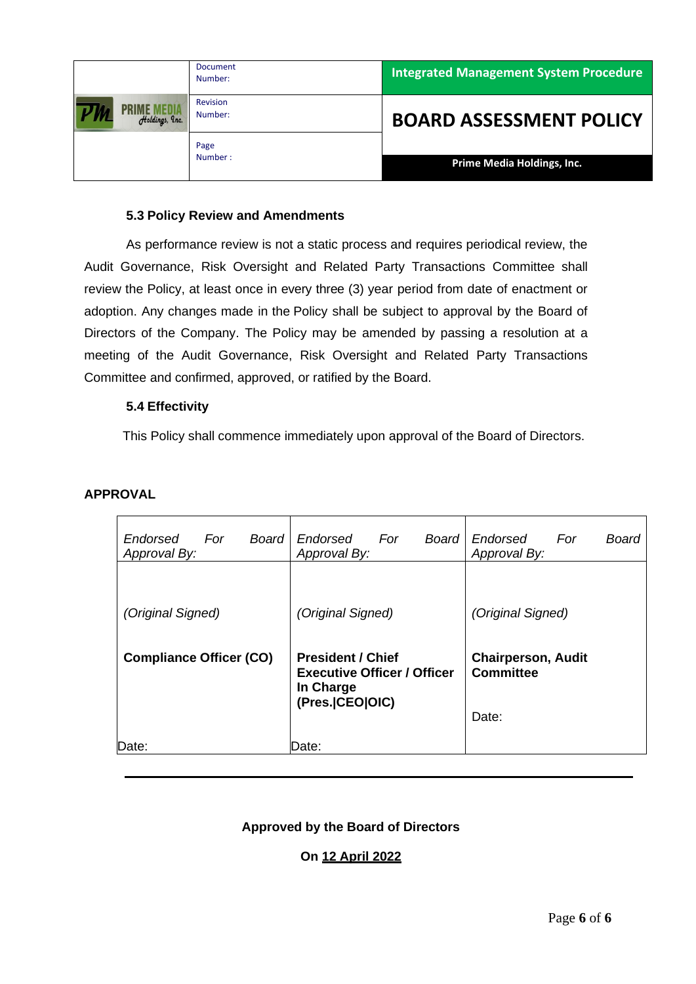|                | <b>Document</b><br>Number: | <b>Integrated Management System Procedure</b> |
|----------------|----------------------------|-----------------------------------------------|
| Holdings, Inc. | <b>Revision</b><br>Number: | <b>BOARD ASSESSMENT POLICY</b>                |
|                | Page<br>Number:            | Prime Media Holdings, Inc.                    |

### **5.3 Policy Review and Amendments**

As performance review is not a static process and requires periodical review, the Audit Governance, Risk Oversight and Related Party Transactions Committee shall review the Policy, at least once in every three (3) year period from date of enactment or adoption. Any changes made in the Policy shall be subject to approval by the Board of Directors of the Company. The Policy may be amended by passing a resolution at a meeting of the Audit Governance, Risk Oversight and Related Party Transactions Committee and confirmed, approved, or ratified by the Board.

### **5.4 Effectivity**

This Policy shall commence immediately upon approval of the Board of Directors.

## **APPROVAL**

| <b>Board</b><br>Endorsed<br>For<br>Approval By: | Board<br>Endorsed<br>For<br>Approval By:                                                         | Endorsed<br>Board<br>For<br>Approval By:               |
|-------------------------------------------------|--------------------------------------------------------------------------------------------------|--------------------------------------------------------|
| (Original Signed)                               | (Original Signed)                                                                                | (Original Signed)                                      |
| <b>Compliance Officer (CO)</b>                  | <b>President / Chief</b><br><b>Executive Officer / Officer</b><br>In Charge<br>(Pres. CEO   OIC) | <b>Chairperson, Audit</b><br><b>Committee</b><br>Date: |
| Date:                                           | Date:                                                                                            |                                                        |

## **Approved by the Board of Directors**

## **On 12 April 2022**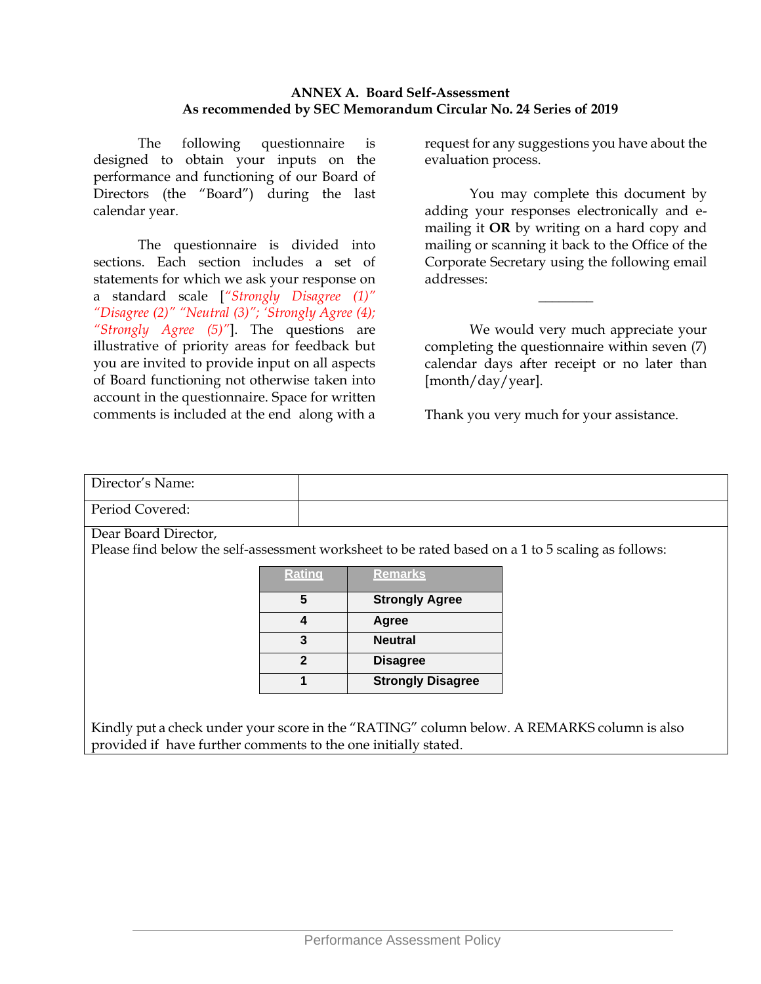### **ANNEX A. Board Self-Assessment As recommended by SEC Memorandum Circular No. 24 Series of 2019**

The following questionnaire is designed to obtain your inputs on the performance and functioning of our Board of Directors (the "Board") during the last calendar year.

The questionnaire is divided into sections. Each section includes a set of statements for which we ask your response on a standard scale [*"Strongly Disagree (1)" "Disagree (2)" "Neutral (3)"; 'Strongly Agree (4); "Strongly Agree (5)"*]. The questions are illustrative of priority areas for feedback but you are invited to provide input on all aspects of Board functioning not otherwise taken into account in the questionnaire. Space for written comments is included at the end along with a

request for any suggestions you have about the evaluation process.

You may complete this document by adding your responses electronically and emailing it **OR** by writing on a hard copy and mailing or scanning it back to the Office of the Corporate Secretary using the following email addresses:

We would very much appreciate your completing the questionnaire within seven (7) calendar days after receipt or no later than [month/day/year].

\_\_\_\_\_\_\_\_

Thank you very much for your assistance.

# Director's Name: Period Covered:

Dear Board Director,

Please find below the self-assessment worksheet to be rated based on a 1 to 5 scaling as follows:

| <b>Rating</b> | <b>Remarks</b>           |
|---------------|--------------------------|
| 5             | <b>Strongly Agree</b>    |
|               | Agree                    |
|               | <b>Neutral</b>           |
| 2             | <b>Disagree</b>          |
|               | <b>Strongly Disagree</b> |

Kindly put a check under your score in the "RATING" column below. A REMARKS column is also provided if have further comments to the one initially stated.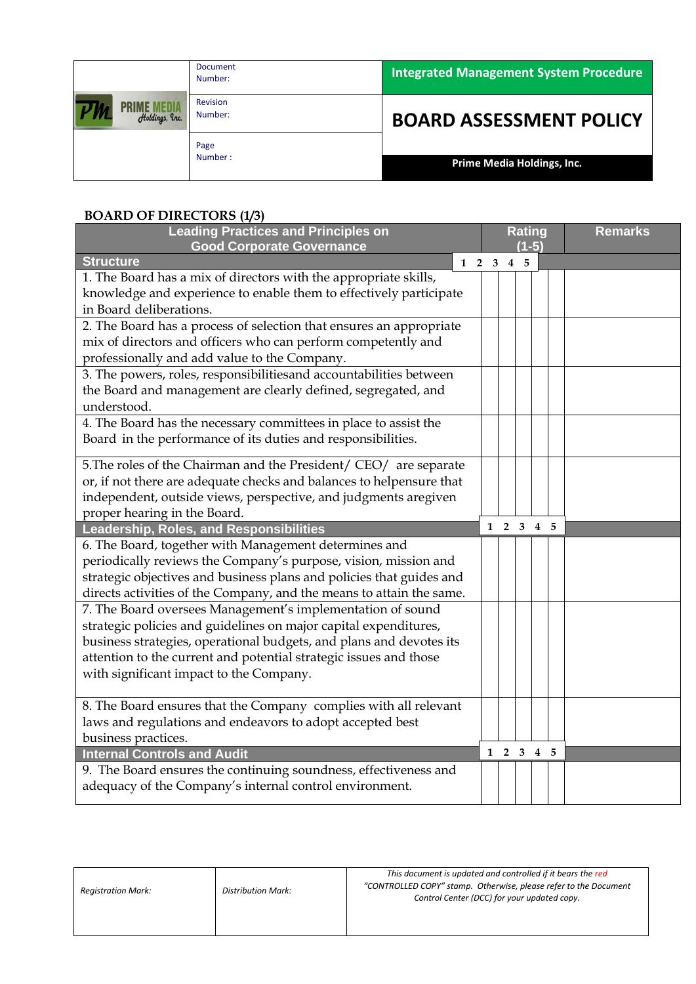|                | <b>Document</b><br>Number: | <b>Integrated Management System Procedure</b> |
|----------------|----------------------------|-----------------------------------------------|
| Holdings, Inc. | Revision<br>Number:        | <b>BOARD ASSESSMENT POLICY</b>                |
|                | Page<br>Number:            | Prime Media Holdings, Inc.                    |

# **BOARD OF DIRECTORS (1/3)**

| <b>Leading Practices and Principles on</b>                           |                   |  | <b>Rating</b>  |                     |         | <b>Remarks</b> |  |
|----------------------------------------------------------------------|-------------------|--|----------------|---------------------|---------|----------------|--|
| <b>Good Corporate Governance</b>                                     |                   |  |                |                     | $(1-5)$ |                |  |
| <b>Structure</b>                                                     | $1\quad 2\quad 3$ |  | $\overline{4}$ | -5                  |         |                |  |
| 1. The Board has a mix of directors with the appropriate skills,     |                   |  |                |                     |         |                |  |
| knowledge and experience to enable them to effectively participate   |                   |  |                |                     |         |                |  |
| in Board deliberations.                                              |                   |  |                |                     |         |                |  |
| 2. The Board has a process of selection that ensures an appropriate  |                   |  |                |                     |         |                |  |
| mix of directors and officers who can perform competently and        |                   |  |                |                     |         |                |  |
| professionally and add value to the Company.                         |                   |  |                |                     |         |                |  |
| 3. The powers, roles, responsibilitiesand accountabilities between   |                   |  |                |                     |         |                |  |
| the Board and management are clearly defined, segregated, and        |                   |  |                |                     |         |                |  |
| understood.                                                          |                   |  |                |                     |         |                |  |
| 4. The Board has the necessary committees in place to assist the     |                   |  |                |                     |         |                |  |
| Board in the performance of its duties and responsibilities.         |                   |  |                |                     |         |                |  |
|                                                                      |                   |  |                |                     |         |                |  |
| 5. The roles of the Chairman and the President/ CEO/ are separate    |                   |  |                |                     |         |                |  |
| or, if not there are adequate checks and balances to helpensure that |                   |  |                |                     |         |                |  |
| independent, outside views, perspective, and judgments aregiven      |                   |  |                |                     |         |                |  |
| proper hearing in the Board.                                         |                   |  |                | $1 \t2 \t3 \t4 \t5$ |         |                |  |
| <b>Leadership, Roles, and Responsibilities</b>                       |                   |  |                |                     |         |                |  |
| 6. The Board, together with Management determines and                |                   |  |                |                     |         |                |  |
| periodically reviews the Company's purpose, vision, mission and      |                   |  |                |                     |         |                |  |
| strategic objectives and business plans and policies that guides and |                   |  |                |                     |         |                |  |
| directs activities of the Company, and the means to attain the same. |                   |  |                |                     |         |                |  |
| 7. The Board oversees Management's implementation of sound           |                   |  |                |                     |         |                |  |
| strategic policies and guidelines on major capital expenditures,     |                   |  |                |                     |         |                |  |
| business strategies, operational budgets, and plans and devotes its  |                   |  |                |                     |         |                |  |
| attention to the current and potential strategic issues and those    |                   |  |                |                     |         |                |  |
| with significant impact to the Company.                              |                   |  |                |                     |         |                |  |
|                                                                      |                   |  |                |                     |         |                |  |
| 8. The Board ensures that the Company complies with all relevant     |                   |  |                |                     |         |                |  |
| laws and regulations and endeavors to adopt accepted best            |                   |  |                |                     |         |                |  |
| business practices.                                                  |                   |  |                |                     |         |                |  |
| <b>Internal Controls and Audit</b>                                   |                   |  |                | $1\ 2\ 3\ 4\ 5$     |         |                |  |
| 9. The Board ensures the continuing soundness, effectiveness and     |                   |  |                |                     |         |                |  |
| adequacy of the Company's internal control environment.              |                   |  |                |                     |         |                |  |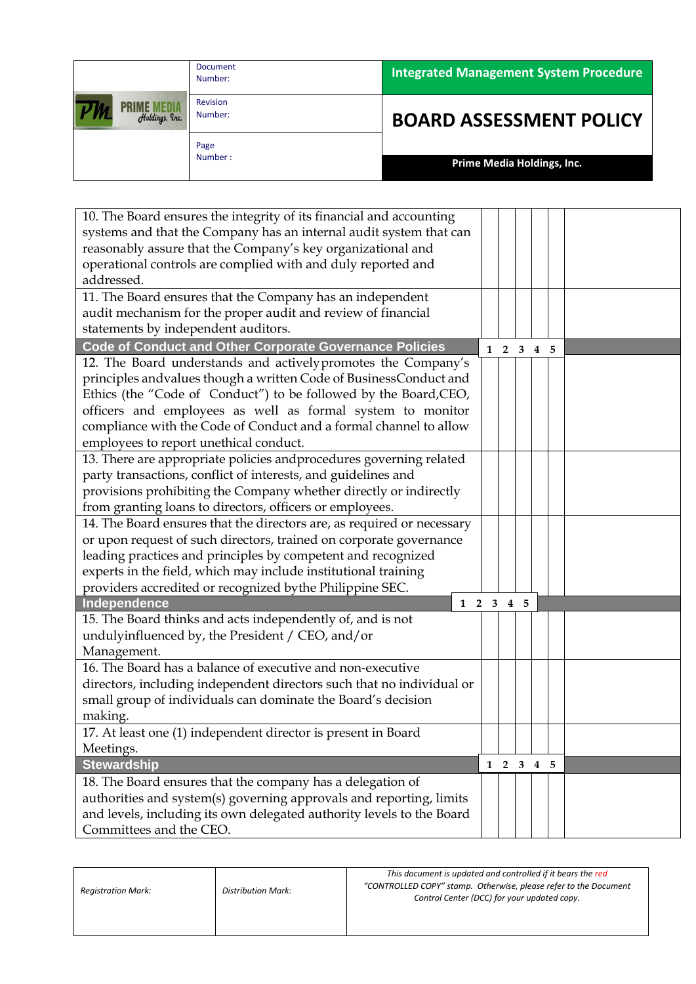|                | <b>Document</b><br>Number: | <b>Integrated Management System Procedure</b> |
|----------------|----------------------------|-----------------------------------------------|
| Holdings, Inc. | Revision<br>Number:        | <b>BOARD ASSESSMENT POLICY</b>                |
|                | Page<br>Number:            | Prime Media Holdings, Inc.                    |

| 10. The Board ensures the integrity of its financial and accounting    |            |            |                     |                   |  |
|------------------------------------------------------------------------|------------|------------|---------------------|-------------------|--|
| systems and that the Company has an internal audit system that can     |            |            |                     |                   |  |
| reasonably assure that the Company's key organizational and            |            |            |                     |                   |  |
| operational controls are complied with and duly reported and           |            |            |                     |                   |  |
| addressed.                                                             |            |            |                     |                   |  |
| 11. The Board ensures that the Company has an independent              |            |            |                     |                   |  |
| audit mechanism for the proper audit and review of financial           |            |            |                     |                   |  |
| statements by independent auditors.                                    |            |            |                     |                   |  |
| <b>Code of Conduct and Other Corporate Governance Policies</b>         |            | $1\quad 2$ |                     | $3\quad 4\quad 5$ |  |
| 12. The Board understands and actively promotes the Company's          |            |            |                     |                   |  |
| principles andvalues though a written Code of BusinessConduct and      |            |            |                     |                   |  |
| Ethics (the "Code of Conduct") to be followed by the Board, CEO,       |            |            |                     |                   |  |
| officers and employees as well as formal system to monitor             |            |            |                     |                   |  |
| compliance with the Code of Conduct and a formal channel to allow      |            |            |                     |                   |  |
| employees to report unethical conduct.                                 |            |            |                     |                   |  |
| 13. There are appropriate policies and procedures governing related    |            |            |                     |                   |  |
| party transactions, conflict of interests, and guidelines and          |            |            |                     |                   |  |
| provisions prohibiting the Company whether directly or indirectly      |            |            |                     |                   |  |
| from granting loans to directors, officers or employees.               |            |            |                     |                   |  |
| 14. The Board ensures that the directors are, as required or necessary |            |            |                     |                   |  |
| or upon request of such directors, trained on corporate governance     |            |            |                     |                   |  |
| leading practices and principles by competent and recognized           |            |            |                     |                   |  |
| experts in the field, which may include institutional training         |            |            |                     |                   |  |
| providers accredited or recognized bythe Philippine SEC.               |            |            |                     |                   |  |
| <b>Independence</b>                                                    | $1\quad 2$ |            | $3\quad 4\quad 5$   |                   |  |
| 15. The Board thinks and acts independently of, and is not             |            |            |                     |                   |  |
| undulyinfluenced by, the President / CEO, and/or                       |            |            |                     |                   |  |
| Management.                                                            |            |            |                     |                   |  |
| 16. The Board has a balance of executive and non-executive             |            |            |                     |                   |  |
| directors, including independent directors such that no individual or  |            |            |                     |                   |  |
| small group of individuals can dominate the Board's decision           |            |            |                     |                   |  |
| making.                                                                |            |            |                     |                   |  |
| 17. At least one (1) independent director is present in Board          |            |            |                     |                   |  |
| Meetings.                                                              |            |            |                     |                   |  |
| <b>Stewardship</b>                                                     |            |            | $1 \t2 \t3 \t4 \t5$ |                   |  |
| 18. The Board ensures that the company has a delegation of             |            |            |                     |                   |  |
| authorities and system(s) governing approvals and reporting, limits    |            |            |                     |                   |  |
|                                                                        |            |            |                     |                   |  |
| and levels, including its own delegated authority levels to the Board  |            |            |                     |                   |  |
| Committees and the CEO.                                                |            |            |                     |                   |  |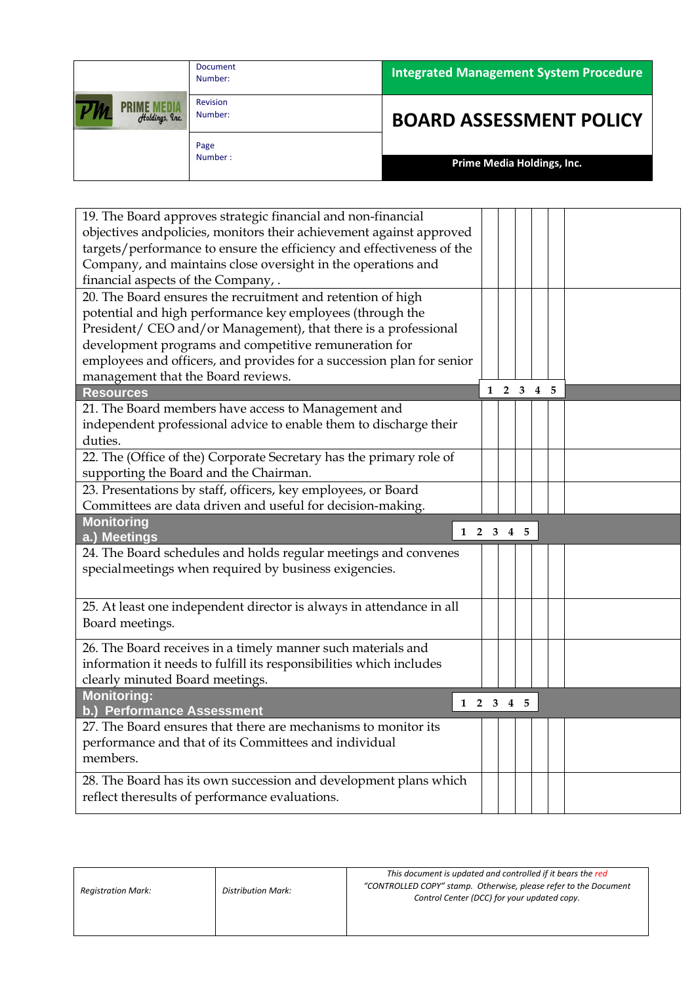|                | Document<br>Number: | <b>Integrated Management System Procedure</b> |
|----------------|---------------------|-----------------------------------------------|
| Holdings, Inc. | Revision<br>Number: | <b>BOARD ASSESSMENT POLICY</b>                |
|                | Page<br>Number:     | Prime Media Holdings, Inc.                    |

| 19. The Board approves strategic financial and non-financial          |                 |                     |  |  |  |
|-----------------------------------------------------------------------|-----------------|---------------------|--|--|--|
| objectives andpolicies, monitors their achievement against approved   |                 |                     |  |  |  |
| targets/performance to ensure the efficiency and effectiveness of the |                 |                     |  |  |  |
| Company, and maintains close oversight in the operations and          |                 |                     |  |  |  |
| financial aspects of the Company, .                                   |                 |                     |  |  |  |
| 20. The Board ensures the recruitment and retention of high           |                 |                     |  |  |  |
| potential and high performance key employees (through the             |                 |                     |  |  |  |
| President/ CEO and/or Management), that there is a professional       |                 |                     |  |  |  |
| development programs and competitive remuneration for                 |                 |                     |  |  |  |
| employees and officers, and provides for a succession plan for senior |                 |                     |  |  |  |
| management that the Board reviews.                                    |                 |                     |  |  |  |
| <b>Resources</b>                                                      |                 | $1 \t2 \t3 \t4 \t5$ |  |  |  |
| 21. The Board members have access to Management and                   |                 |                     |  |  |  |
| independent professional advice to enable them to discharge their     |                 |                     |  |  |  |
| duties.                                                               |                 |                     |  |  |  |
| 22. The (Office of the) Corporate Secretary has the primary role of   |                 |                     |  |  |  |
| supporting the Board and the Chairman.                                |                 |                     |  |  |  |
| 23. Presentations by staff, officers, key employees, or Board         |                 |                     |  |  |  |
| Committees are data driven and useful for decision-making.            |                 |                     |  |  |  |
|                                                                       |                 |                     |  |  |  |
| <b>Monitoring</b>                                                     |                 |                     |  |  |  |
| a.) Meetings                                                          | $1\ 2\ 3\ 4\ 5$ |                     |  |  |  |
| 24. The Board schedules and holds regular meetings and convenes       |                 |                     |  |  |  |
| specialmeetings when required by business exigencies.                 |                 |                     |  |  |  |
|                                                                       |                 |                     |  |  |  |
|                                                                       |                 |                     |  |  |  |
| 25. At least one independent director is always in attendance in all  |                 |                     |  |  |  |
| Board meetings.                                                       |                 |                     |  |  |  |
| 26. The Board receives in a timely manner such materials and          |                 |                     |  |  |  |
| information it needs to fulfill its responsibilities which includes   |                 |                     |  |  |  |
| clearly minuted Board meetings.                                       |                 |                     |  |  |  |
| <b>Monitoring:</b>                                                    | 1 2 3 4 5       |                     |  |  |  |
| b.) Performance Assessment                                            |                 |                     |  |  |  |
| 27. The Board ensures that there are mechanisms to monitor its        |                 |                     |  |  |  |
| performance and that of its Committees and individual                 |                 |                     |  |  |  |
| members.                                                              |                 |                     |  |  |  |
| 28. The Board has its own succession and development plans which      |                 |                     |  |  |  |
| reflect theresults of performance evaluations.                        |                 |                     |  |  |  |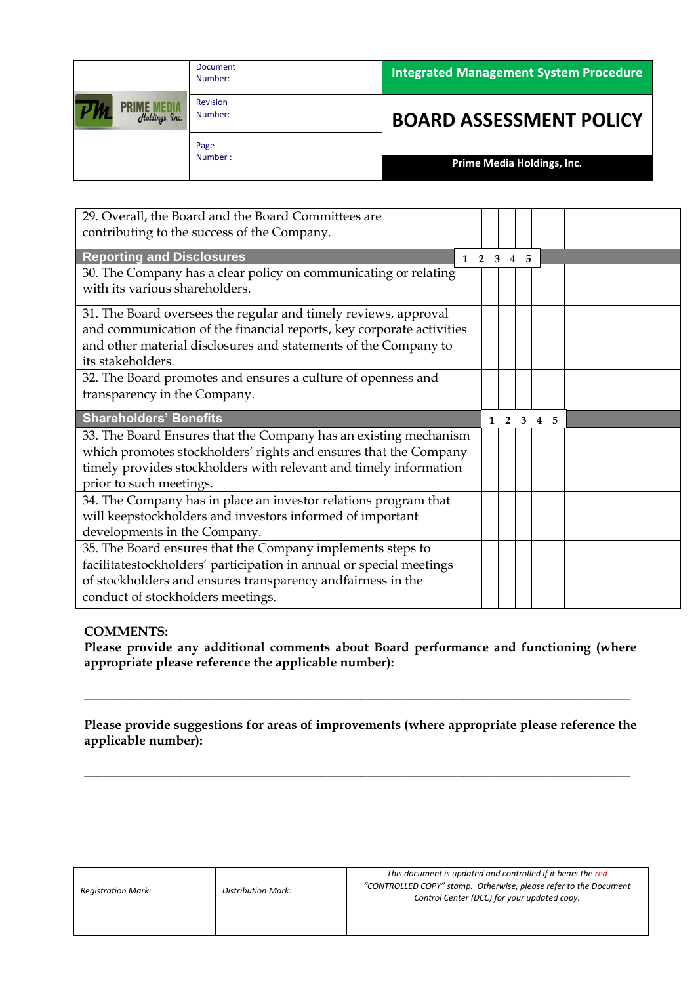|                                      | <b>Document</b><br>Number: | <b>Integrated Management System Procedure</b> |
|--------------------------------------|----------------------------|-----------------------------------------------|
| <b>PRIME MEDIA</b><br>Holdings, Inc. | <b>Revision</b><br>Number: | <b>BOARD ASSESSMENT POLICY</b>                |
|                                      | Page<br>Number:            | Prime Media Holdings, Inc.                    |

| 29. Overall, the Board and the Board Committees are<br>contributing to the success of the Company.                                                                                                                                   |              |                |      |                |   |  |
|--------------------------------------------------------------------------------------------------------------------------------------------------------------------------------------------------------------------------------------|--------------|----------------|------|----------------|---|--|
| <b>Reporting and Disclosures</b><br>$1\quad 2$                                                                                                                                                                                       | 3            | $\overline{4}$ | $-5$ |                |   |  |
| 30. The Company has a clear policy on communicating or relating<br>with its various shareholders.                                                                                                                                    |              |                |      |                |   |  |
| 31. The Board oversees the regular and timely reviews, approval<br>and communication of the financial reports, key corporate activities<br>and other material disclosures and statements of the Company to<br>its stakeholders.      |              |                |      |                |   |  |
| 32. The Board promotes and ensures a culture of openness and<br>transparency in the Company.                                                                                                                                         |              |                |      |                |   |  |
|                                                                                                                                                                                                                                      |              |                |      |                |   |  |
| <b>Shareholders' Benefits</b>                                                                                                                                                                                                        | $\mathbf{1}$ | $\overline{2}$ | 3    | $\overline{4}$ | 5 |  |
| 33. The Board Ensures that the Company has an existing mechanism<br>which promotes stockholders' rights and ensures that the Company<br>timely provides stockholders with relevant and timely information<br>prior to such meetings. |              |                |      |                |   |  |
| 34. The Company has in place an investor relations program that<br>will keepstockholders and investors informed of important<br>developments in the Company.                                                                         |              |                |      |                |   |  |

**Please provide any additional comments about Board performance and functioning (where appropriate please reference the applicable number):** 

**Please provide suggestions for areas of improvements (where appropriate please reference the applicable number):** 

**\_\_\_\_\_\_\_\_\_\_\_\_\_\_\_\_\_\_\_\_\_\_\_\_\_\_\_\_\_\_\_\_\_\_\_\_\_\_\_\_\_\_\_\_\_\_\_\_\_\_\_\_\_\_\_\_\_\_\_\_\_\_\_\_\_\_\_\_\_\_\_\_\_\_\_\_\_\_\_\_\_\_\_\_\_**

**\_\_\_\_\_\_\_\_\_\_\_\_\_\_\_\_\_\_\_\_\_\_\_\_\_\_\_\_\_\_\_\_\_\_\_\_\_\_\_\_\_\_\_\_\_\_\_\_\_\_\_\_\_\_\_\_\_\_\_\_\_\_\_\_\_\_\_\_\_\_\_\_\_\_\_\_\_\_\_\_\_\_\_\_\_**

| <b>Registration Mark:</b> | <b>Distribution Mark:</b> | This document is updated and controlled if it bears the red<br>"CONTROLLED COPY" stamp. Otherwise, please refer to the Document<br>Control Center (DCC) for your updated copy. |
|---------------------------|---------------------------|--------------------------------------------------------------------------------------------------------------------------------------------------------------------------------|
|                           |                           |                                                                                                                                                                                |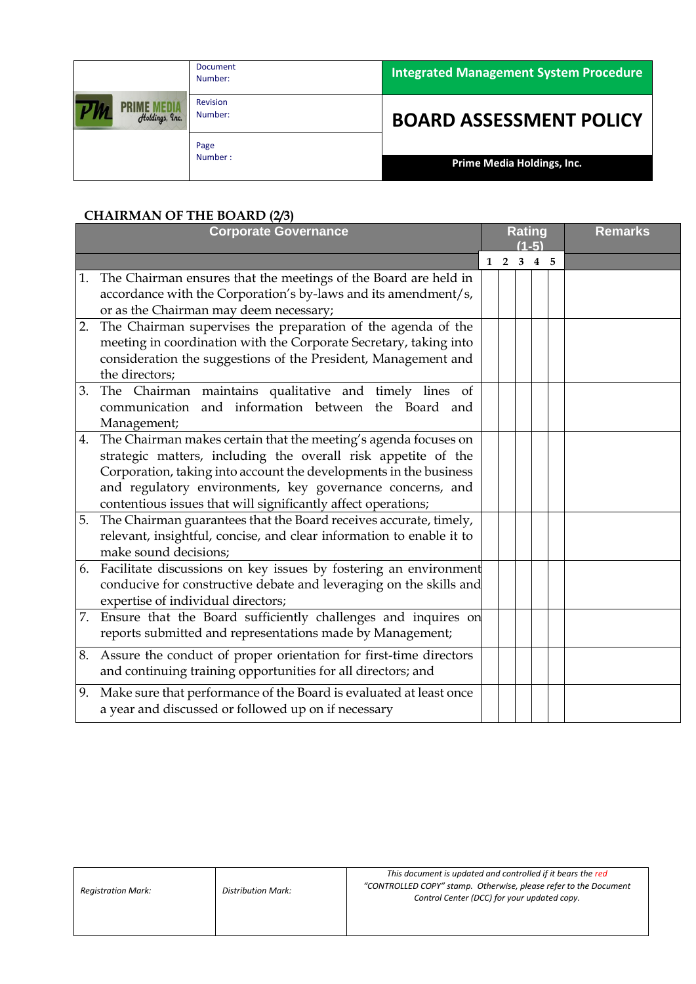|                | <b>Document</b><br>Number: | <b>Integrated Management System Procedure</b> |
|----------------|----------------------------|-----------------------------------------------|
| Holdings, Inc. | Revision<br>Number:        | <b>BOARD ASSESSMENT POLICY</b>                |
|                | Page<br>Number:            | Prime Media Holdings, Inc.                    |

## **CHAIRMAN OF THE BOARD (2/3)**

|    | <b>Corporate Governance</b>                                                                                                                                                                                                                                                                                                         |  |            |       | <b>Rating</b><br>$(1-5)$ | <b>Remarks</b> |
|----|-------------------------------------------------------------------------------------------------------------------------------------------------------------------------------------------------------------------------------------------------------------------------------------------------------------------------------------|--|------------|-------|--------------------------|----------------|
|    |                                                                                                                                                                                                                                                                                                                                     |  | $1\quad 2$ | 3 4 5 |                          |                |
| 1. | The Chairman ensures that the meetings of the Board are held in<br>accordance with the Corporation's by-laws and its amendment/s,<br>or as the Chairman may deem necessary;                                                                                                                                                         |  |            |       |                          |                |
| 2. | The Chairman supervises the preparation of the agenda of the<br>meeting in coordination with the Corporate Secretary, taking into<br>consideration the suggestions of the President, Management and<br>the directors;                                                                                                               |  |            |       |                          |                |
| 3. | The Chairman maintains qualitative and timely lines of<br>communication and information between the Board and<br>Management;                                                                                                                                                                                                        |  |            |       |                          |                |
| 4. | The Chairman makes certain that the meeting's agenda focuses on<br>strategic matters, including the overall risk appetite of the<br>Corporation, taking into account the developments in the business<br>and regulatory environments, key governance concerns, and<br>contentious issues that will significantly affect operations; |  |            |       |                          |                |
| 5. | The Chairman guarantees that the Board receives accurate, timely,<br>relevant, insightful, concise, and clear information to enable it to<br>make sound decisions;                                                                                                                                                                  |  |            |       |                          |                |
|    | 6. Facilitate discussions on key issues by fostering an environment<br>conducive for constructive debate and leveraging on the skills and<br>expertise of individual directors;                                                                                                                                                     |  |            |       |                          |                |
|    | 7. Ensure that the Board sufficiently challenges and inquires on<br>reports submitted and representations made by Management;                                                                                                                                                                                                       |  |            |       |                          |                |
| 8. | Assure the conduct of proper orientation for first-time directors<br>and continuing training opportunities for all directors; and                                                                                                                                                                                                   |  |            |       |                          |                |
| 9. | Make sure that performance of the Board is evaluated at least once<br>a year and discussed or followed up on if necessary                                                                                                                                                                                                           |  |            |       |                          |                |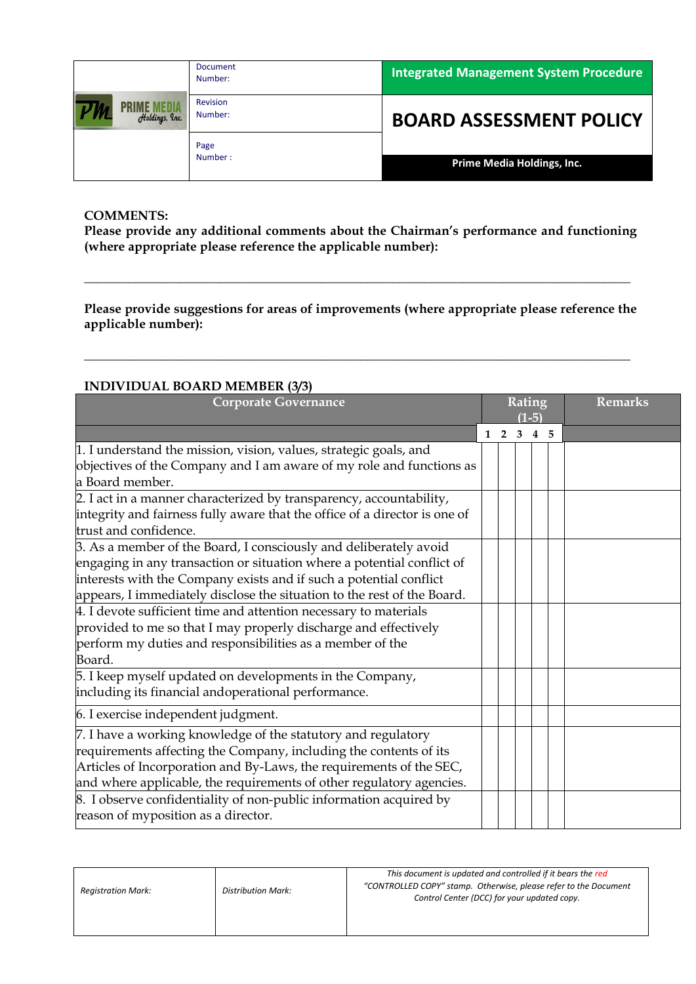|                | <b>Document</b><br>Number: | Integrated Management System Procedure |
|----------------|----------------------------|----------------------------------------|
| Holdings, Inc. | Revision<br>Number:        | <b>BOARD ASSESSMENT POLICY</b>         |
|                | Page<br>Number:            | Prime Media Holdings, Inc.             |

**Please provide any additional comments about the Chairman's performance and functioning (where appropriate please reference the applicable number):** 

**Please provide suggestions for areas of improvements (where appropriate please reference the applicable number):** 

**\_\_\_\_\_\_\_\_\_\_\_\_\_\_\_\_\_\_\_\_\_\_\_\_\_\_\_\_\_\_\_\_\_\_\_\_\_\_\_\_\_\_\_\_\_\_\_\_\_\_\_\_\_\_\_\_\_\_\_\_\_\_\_\_\_\_\_\_\_\_\_\_\_\_\_\_\_\_\_\_\_\_\_\_\_**

**\_\_\_\_\_\_\_\_\_\_\_\_\_\_\_\_\_\_\_\_\_\_\_\_\_\_\_\_\_\_\_\_\_\_\_\_\_\_\_\_\_\_\_\_\_\_\_\_\_\_\_\_\_\_\_\_\_\_\_\_\_\_\_\_\_\_\_\_\_\_\_\_\_\_\_\_\_\_\_\_\_\_\_\_\_**

## **INDIVIDUAL BOARD MEMBER (3/3)**

| <b>Corporate Governance</b>                                                |  |            |   | <b>Rating</b><br>$(1-5)$ | <b>Remarks</b> |  |  |  |
|----------------------------------------------------------------------------|--|------------|---|--------------------------|----------------|--|--|--|
|                                                                            |  | $1\quad 2$ | 3 | 4 5                      |                |  |  |  |
| 1. I understand the mission, vision, values, strategic goals, and          |  |            |   |                          |                |  |  |  |
| objectives of the Company and I am aware of my role and functions as       |  |            |   |                          |                |  |  |  |
| a Board member.                                                            |  |            |   |                          |                |  |  |  |
| 2. I act in a manner characterized by transparency, accountability,        |  |            |   |                          |                |  |  |  |
| integrity and fairness fully aware that the office of a director is one of |  |            |   |                          |                |  |  |  |
| trust and confidence.                                                      |  |            |   |                          |                |  |  |  |
| 3. As a member of the Board, I consciously and deliberately avoid          |  |            |   |                          |                |  |  |  |
| engaging in any transaction or situation where a potential conflict of     |  |            |   |                          |                |  |  |  |
| interests with the Company exists and if such a potential conflict         |  |            |   |                          |                |  |  |  |
| appears, I immediately disclose the situation to the rest of the Board.    |  |            |   |                          |                |  |  |  |
| 4. I devote sufficient time and attention necessary to materials           |  |            |   |                          |                |  |  |  |
| provided to me so that I may properly discharge and effectively            |  |            |   |                          |                |  |  |  |
| perform my duties and responsibilities as a member of the                  |  |            |   |                          |                |  |  |  |
| Board.                                                                     |  |            |   |                          |                |  |  |  |
| 5. I keep myself updated on developments in the Company,                   |  |            |   |                          |                |  |  |  |
| including its financial andoperational performance.                        |  |            |   |                          |                |  |  |  |
| 6. I exercise independent judgment.                                        |  |            |   |                          |                |  |  |  |
| 7. I have a working knowledge of the statutory and regulatory              |  |            |   |                          |                |  |  |  |
| requirements affecting the Company, including the contents of its          |  |            |   |                          |                |  |  |  |
| Articles of Incorporation and By-Laws, the requirements of the SEC,        |  |            |   |                          |                |  |  |  |
| and where applicable, the requirements of other regulatory agencies.       |  |            |   |                          |                |  |  |  |
| 8. I observe confidentiality of non-public information acquired by         |  |            |   |                          |                |  |  |  |
| reason of myposition as a director.                                        |  |            |   |                          |                |  |  |  |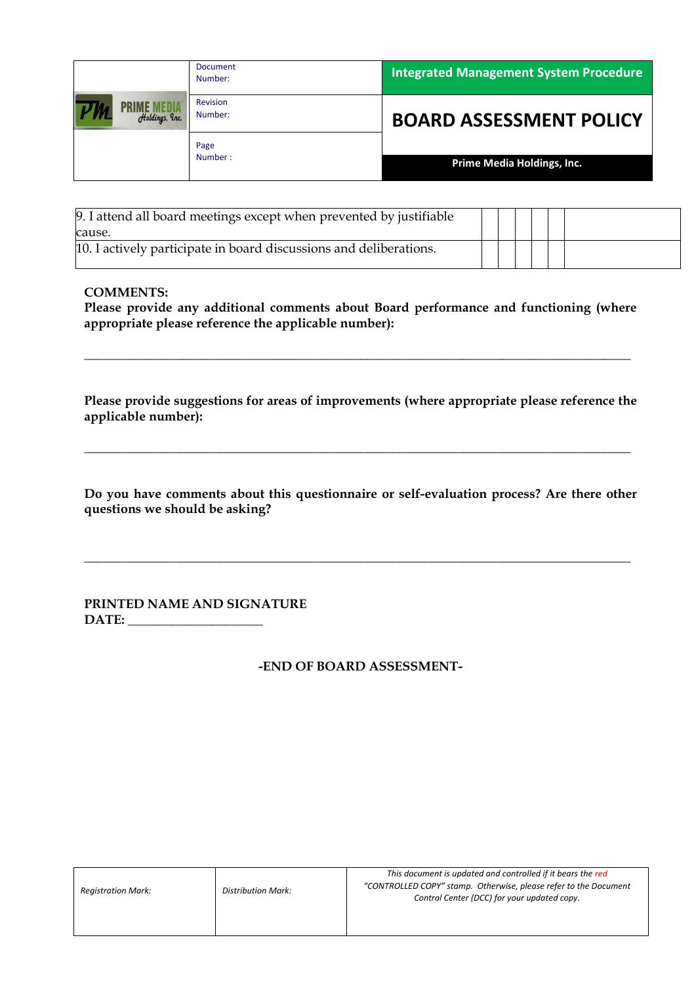|                | <b>Document</b><br>Number: | <b>Integrated Management System Procedure</b> |
|----------------|----------------------------|-----------------------------------------------|
| Holdings, Inc. | Revision<br>Number:        | <b>BOARD ASSESSMENT POLICY</b>                |
|                | Page<br>Number:            | Prime Media Holdings, Inc.                    |

| 9. I attend all board meetings except when prevented by justifiable |  |  |  |
|---------------------------------------------------------------------|--|--|--|
| cause.                                                              |  |  |  |
| 10. I actively participate in board discussions and deliberations.  |  |  |  |

**Please provide any additional comments about Board performance and functioning (where appropriate please reference the applicable number):** 

**\_\_\_\_\_\_\_\_\_\_\_\_\_\_\_\_\_\_\_\_\_\_\_\_\_\_\_\_\_\_\_\_\_\_\_\_\_\_\_\_\_\_\_\_\_\_\_\_\_\_\_\_\_\_\_\_\_\_\_\_\_\_\_\_\_\_\_\_\_\_\_\_\_\_\_\_\_\_\_\_\_\_\_\_\_**

**Please provide suggestions for areas of improvements (where appropriate please reference the applicable number):** 

**\_\_\_\_\_\_\_\_\_\_\_\_\_\_\_\_\_\_\_\_\_\_\_\_\_\_\_\_\_\_\_\_\_\_\_\_\_\_\_\_\_\_\_\_\_\_\_\_\_\_\_\_\_\_\_\_\_\_\_\_\_\_\_\_\_\_\_\_\_\_\_\_\_\_\_\_\_\_\_\_\_\_\_\_\_**

**Do you have comments about this questionnaire or self-evaluation process? Are there other questions we should be asking?** 

**\_\_\_\_\_\_\_\_\_\_\_\_\_\_\_\_\_\_\_\_\_\_\_\_\_\_\_\_\_\_\_\_\_\_\_\_\_\_\_\_\_\_\_\_\_\_\_\_\_\_\_\_\_\_\_\_\_\_\_\_\_\_\_\_\_\_\_\_\_\_\_\_\_\_\_\_\_\_\_\_\_\_\_\_\_**

**PRINTED NAME AND SIGNATURE DATE: \_\_\_\_\_\_\_\_\_\_\_\_\_\_\_\_\_\_\_\_\_**

**-END OF BOARD ASSESSMENT-**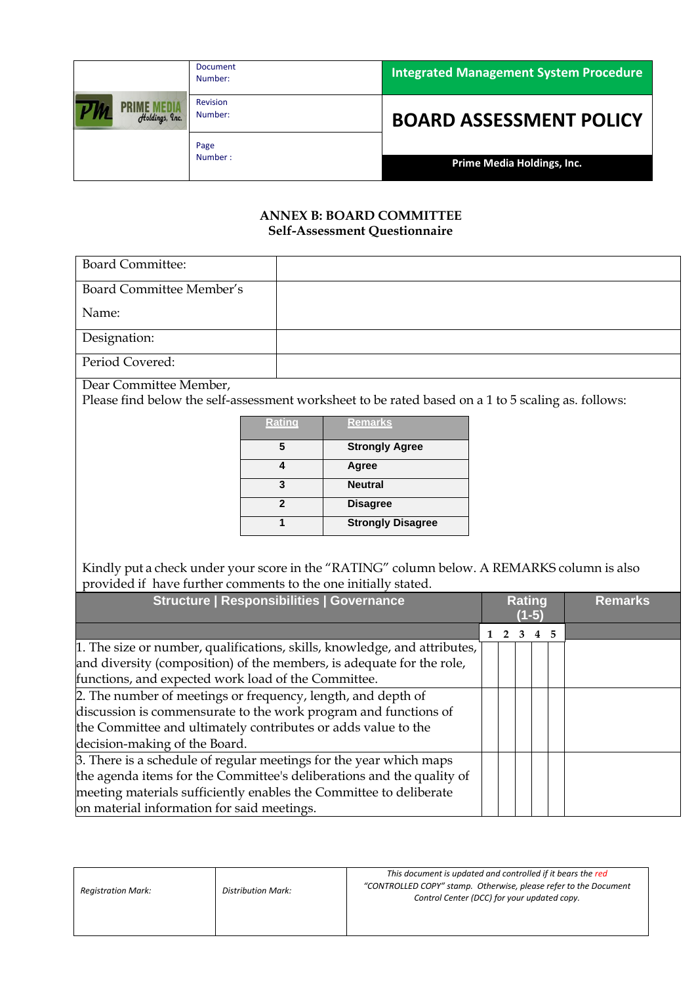|                | <b>Document</b><br>Number: | <b>Integrated Management System Procedure</b> |  |  |  |  |  |
|----------------|----------------------------|-----------------------------------------------|--|--|--|--|--|
| Holdings, Inc. | Revision<br>Number:        | <b>BOARD ASSESSMENT POLICY</b>                |  |  |  |  |  |
|                | Page<br>Number:            | Prime Media Holdings, Inc.                    |  |  |  |  |  |

### **ANNEX B: BOARD COMMITTEE Self-Assessment Questionnaire**

| <b>Board Committee:</b>  |  |
|--------------------------|--|
| Board Committee Member's |  |
| Name:                    |  |
| Designation:             |  |
| Period Covered:          |  |

Dear Committee Member,

Please find below the self-assessment worksheet to be rated based on a 1 to 5 scaling as. follows:

| <u>Rating</u> | <b>Remarks</b>           |
|---------------|--------------------------|
|               | <b>Strongly Agree</b>    |
|               | Agree                    |
| 3             | <b>Neutral</b>           |
| 2             | <b>Disagree</b>          |
|               | <b>Strongly Disagree</b> |

Kindly put a check under your score in the "RATING" column below. A REMARKS column is also provided if have further comments to the one initially stated.

| <b>Structure   Responsibilities   Governance</b>                          | <b>Rating</b><br>(1-5) |   | <b>Remarks</b> |  |
|---------------------------------------------------------------------------|------------------------|---|----------------|--|
|                                                                           |                        | 3 | 4 5            |  |
| 1. The size or number, qualifications, skills, knowledge, and attributes, |                        |   |                |  |
| and diversity (composition) of the members, is adequate for the role,     |                        |   |                |  |
| functions, and expected work load of the Committee.                       |                        |   |                |  |
| 2. The number of meetings or frequency, length, and depth of              |                        |   |                |  |
| discussion is commensurate to the work program and functions of           |                        |   |                |  |
| the Committee and ultimately contributes or adds value to the             |                        |   |                |  |
| decision-making of the Board.                                             |                        |   |                |  |
| 3. There is a schedule of regular meetings for the year which maps        |                        |   |                |  |
| the agenda items for the Committee's deliberations and the quality of     |                        |   |                |  |
| meeting materials sufficiently enables the Committee to deliberate        |                        |   |                |  |
| on material information for said meetings.                                |                        |   |                |  |